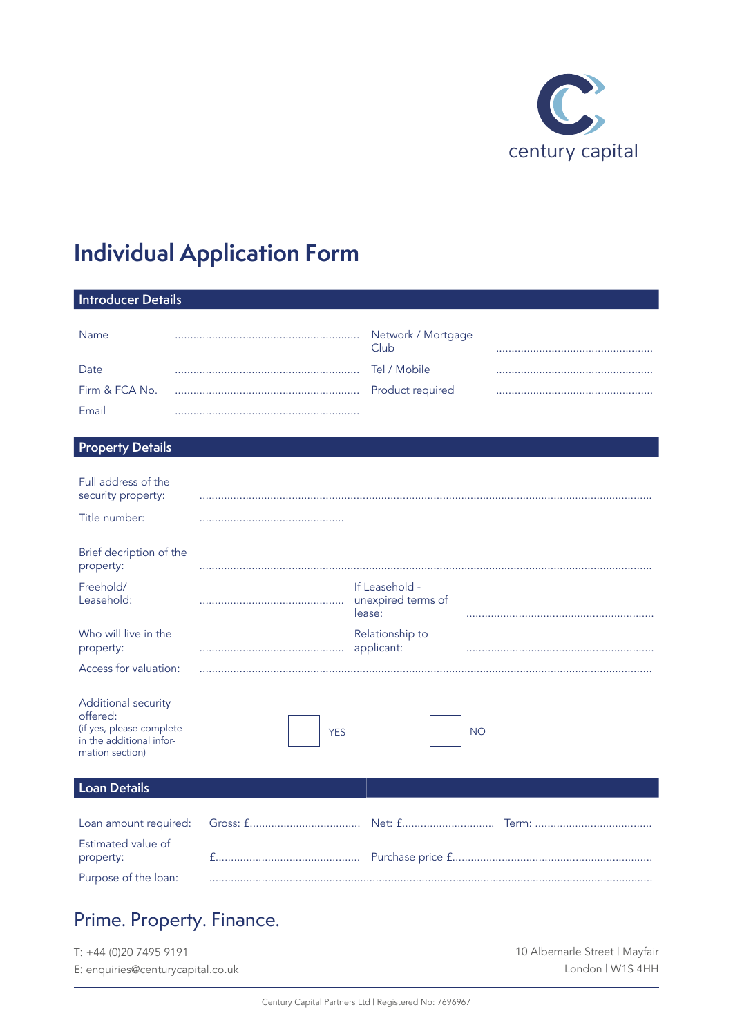

# **Individual Application Form**

| <b>Introducer Details</b><br><b>Name</b><br>Network / Mortgage<br>.<br>Club<br>Tel / Mobile<br>Date<br>Firm & FCA No.<br>Product required<br>Email<br><b>Property Details</b><br>Full address of the<br>security property:<br>Title number:<br>Brief decription of the<br>property:<br>Freehold/<br>If Leasehold -<br>Leasehold:<br>unexpired terms of<br>.<br>lease:<br>Who will live in the<br>Relationship to<br>property:<br>applicant:<br>Access for valuation:<br>Additional security<br>offered:<br>(if yes, please complete<br><b>YES</b><br><b>NO</b> |
|----------------------------------------------------------------------------------------------------------------------------------------------------------------------------------------------------------------------------------------------------------------------------------------------------------------------------------------------------------------------------------------------------------------------------------------------------------------------------------------------------------------------------------------------------------------|
|                                                                                                                                                                                                                                                                                                                                                                                                                                                                                                                                                                |
|                                                                                                                                                                                                                                                                                                                                                                                                                                                                                                                                                                |
|                                                                                                                                                                                                                                                                                                                                                                                                                                                                                                                                                                |
|                                                                                                                                                                                                                                                                                                                                                                                                                                                                                                                                                                |
|                                                                                                                                                                                                                                                                                                                                                                                                                                                                                                                                                                |
|                                                                                                                                                                                                                                                                                                                                                                                                                                                                                                                                                                |
|                                                                                                                                                                                                                                                                                                                                                                                                                                                                                                                                                                |
|                                                                                                                                                                                                                                                                                                                                                                                                                                                                                                                                                                |
|                                                                                                                                                                                                                                                                                                                                                                                                                                                                                                                                                                |
|                                                                                                                                                                                                                                                                                                                                                                                                                                                                                                                                                                |
|                                                                                                                                                                                                                                                                                                                                                                                                                                                                                                                                                                |
|                                                                                                                                                                                                                                                                                                                                                                                                                                                                                                                                                                |
|                                                                                                                                                                                                                                                                                                                                                                                                                                                                                                                                                                |
|                                                                                                                                                                                                                                                                                                                                                                                                                                                                                                                                                                |
|                                                                                                                                                                                                                                                                                                                                                                                                                                                                                                                                                                |
|                                                                                                                                                                                                                                                                                                                                                                                                                                                                                                                                                                |
|                                                                                                                                                                                                                                                                                                                                                                                                                                                                                                                                                                |
|                                                                                                                                                                                                                                                                                                                                                                                                                                                                                                                                                                |
|                                                                                                                                                                                                                                                                                                                                                                                                                                                                                                                                                                |
|                                                                                                                                                                                                                                                                                                                                                                                                                                                                                                                                                                |
| in the additional infor-                                                                                                                                                                                                                                                                                                                                                                                                                                                                                                                                       |
| mation section)                                                                                                                                                                                                                                                                                                                                                                                                                                                                                                                                                |
|                                                                                                                                                                                                                                                                                                                                                                                                                                                                                                                                                                |
| <b>Loan Details</b>                                                                                                                                                                                                                                                                                                                                                                                                                                                                                                                                            |
| Loan amount required:<br>Net: f                                                                                                                                                                                                                                                                                                                                                                                                                                                                                                                                |
|                                                                                                                                                                                                                                                                                                                                                                                                                                                                                                                                                                |
| Estimated value of<br>property:                                                                                                                                                                                                                                                                                                                                                                                                                                                                                                                                |
| Purpose of the loan:                                                                                                                                                                                                                                                                                                                                                                                                                                                                                                                                           |
|                                                                                                                                                                                                                                                                                                                                                                                                                                                                                                                                                                |

# Prime. Property. Finance.

| $T: +44(0)2074959191$             | 10 Albemarle Street   Mayfair |
|-----------------------------------|-------------------------------|
| E: enquiries@centurycapital.co.uk | London   W1S 4HH              |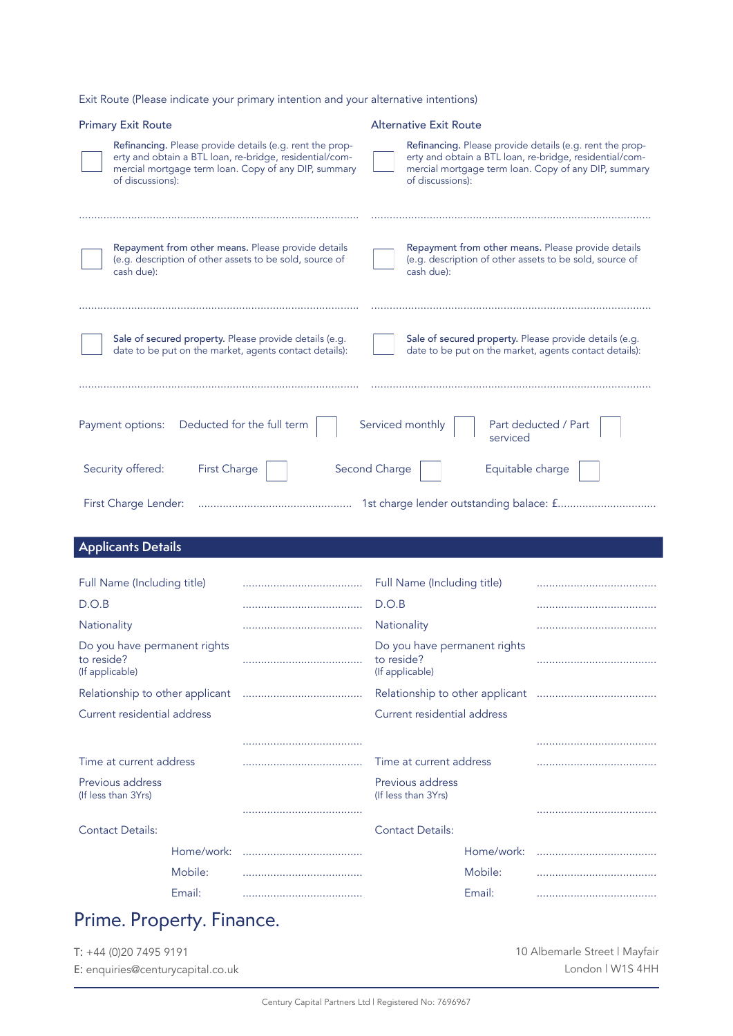Exit Route (Please indicate your primary intention and your alternative intentions)

| <b>Primary Exit Route</b>                                                                                                                                                                                                            |                            |                                                                                                                                                                                                 | <b>Alternative Exit Route</b>                   |                      |  |  |
|--------------------------------------------------------------------------------------------------------------------------------------------------------------------------------------------------------------------------------------|----------------------------|-------------------------------------------------------------------------------------------------------------------------------------------------------------------------------------------------|-------------------------------------------------|----------------------|--|--|
| Refinancing. Please provide details (e.g. rent the prop-<br>erty and obtain a BTL loan, re-bridge, residential/com-<br>mercial mortgage term loan. Copy of any DIP, summary<br>of discussions):                                      |                            | Refinancing. Please provide details (e.g. rent the prop-<br>erty and obtain a BTL loan, re-bridge, residential/com-<br>mercial mortgage term loan. Copy of any DIP, summary<br>of discussions): |                                                 |                      |  |  |
| Repayment from other means. Please provide details<br>(e.g. description of other assets to be sold, source of<br>cash due):                                                                                                          |                            | Repayment from other means. Please provide details<br>(e.g. description of other assets to be sold, source of<br>cash due):                                                                     |                                                 |                      |  |  |
| Sale of secured property. Please provide details (e.g.<br>Sale of secured property. Please provide details (e.g.<br>date to be put on the market, agents contact details):<br>date to be put on the market, agents contact details): |                            |                                                                                                                                                                                                 |                                                 |                      |  |  |
|                                                                                                                                                                                                                                      |                            |                                                                                                                                                                                                 |                                                 |                      |  |  |
| Payment options:                                                                                                                                                                                                                     | Deducted for the full term |                                                                                                                                                                                                 | Serviced monthly<br>serviced                    | Part deducted / Part |  |  |
| Security offered:<br>First Charge                                                                                                                                                                                                    | Second Charge              |                                                                                                                                                                                                 | Equitable charge                                |                      |  |  |
| First Charge Lender:                                                                                                                                                                                                                 |                            |                                                                                                                                                                                                 |                                                 |                      |  |  |
| <b>Applicants Details</b>                                                                                                                                                                                                            |                            |                                                                                                                                                                                                 |                                                 |                      |  |  |
|                                                                                                                                                                                                                                      |                            |                                                                                                                                                                                                 |                                                 |                      |  |  |
| Full Name (Including title)                                                                                                                                                                                                          |                            |                                                                                                                                                                                                 | Full Name (Including title)                     |                      |  |  |
| D.O.B                                                                                                                                                                                                                                |                            | D.O.B                                                                                                                                                                                           |                                                 |                      |  |  |
| Nationality                                                                                                                                                                                                                          |                            | Nationality                                                                                                                                                                                     |                                                 |                      |  |  |
| Do you have permanent rights<br>to reside?<br>(If applicable)                                                                                                                                                                        |                            | to reside?                                                                                                                                                                                      | Do you have permanent rights<br>(If applicable) |                      |  |  |
| Relationship to other applicant                                                                                                                                                                                                      |                            |                                                                                                                                                                                                 |                                                 |                      |  |  |
| Current residential address                                                                                                                                                                                                          |                            |                                                                                                                                                                                                 | Current residential address                     |                      |  |  |

| Current residential address             |            |  | Current residential address             |            |  |  |
|-----------------------------------------|------------|--|-----------------------------------------|------------|--|--|
|                                         |            |  |                                         |            |  |  |
| Time at current address                 |            |  | Time at current address                 |            |  |  |
| Previous address<br>(If less than 3Yrs) |            |  | Previous address<br>(If less than 3Yrs) |            |  |  |
|                                         |            |  |                                         |            |  |  |
| <b>Contact Details:</b>                 |            |  | <b>Contact Details:</b>                 |            |  |  |
|                                         | Home/work: |  |                                         | Home/work: |  |  |
|                                         | Mobile:    |  |                                         | Mobile:    |  |  |
|                                         | Email:     |  |                                         | Email:     |  |  |

# Prime. Property. Finance.

T: +44 (0)20 7495 9191 E: enquiries@centurycapital.co.uk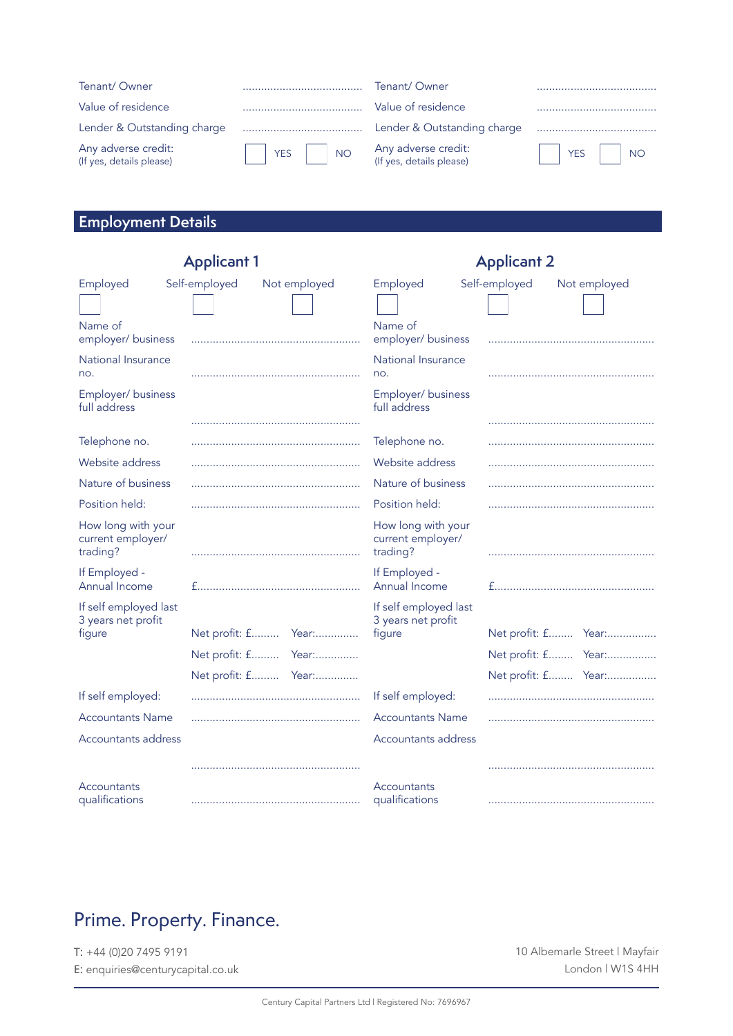| Tenant/Owner                                    |            | Tenant/Owner                                    |          |
|-------------------------------------------------|------------|-------------------------------------------------|----------|
| Value of residence                              |            | Value of residence                              |          |
| Lender & Outstanding charge                     |            | Lender & Outstanding charge                     |          |
| Any adverse credit:<br>(If yes, details please) | $YES$ $NO$ | Any adverse credit:<br>(If yes, details please) | YES   NO |

## **Employment Details**

|                                                       | <b>Applicant 1</b> |                     | <b>Applicant 2</b>                                    |                               |  |  |
|-------------------------------------------------------|--------------------|---------------------|-------------------------------------------------------|-------------------------------|--|--|
| Employed                                              | Self-employed      | Not employed        | Employed                                              | Self-employed<br>Not employed |  |  |
|                                                       |                    |                     |                                                       |                               |  |  |
| Name of<br>employer/business                          |                    |                     | Name of<br>employer/ business                         |                               |  |  |
| National Insurance<br>no.                             |                    |                     | National Insurance<br>no.                             |                               |  |  |
| Employer/business<br>full address                     |                    |                     | Employer/business<br>full address                     |                               |  |  |
|                                                       |                    |                     |                                                       |                               |  |  |
| Telephone no.                                         |                    |                     | Telephone no.                                         |                               |  |  |
| Website address                                       |                    |                     | Website address                                       |                               |  |  |
| Nature of business                                    |                    |                     | Nature of business                                    |                               |  |  |
| Position held:                                        |                    |                     | Position held:                                        |                               |  |  |
| How long with your<br>current employer/<br>trading?   |                    |                     | How long with your<br>current employer/<br>trading?   |                               |  |  |
| If Employed -<br>Annual Income                        |                    |                     | If Employed -<br>Annual Income                        |                               |  |  |
| If self employed last<br>3 years net profit<br>figure |                    |                     | If self employed last<br>3 years net profit<br>figure | Net profit: f Year:           |  |  |
|                                                       |                    | Net profit: f Year: |                                                       |                               |  |  |
|                                                       |                    |                     |                                                       | Net profit: f Year:           |  |  |
|                                                       |                    | Net profit: f Year: |                                                       | Net profit: f Year:           |  |  |
| If self employed:                                     |                    |                     | If self employed:                                     |                               |  |  |
| <b>Accountants Name</b>                               |                    |                     | <b>Accountants Name</b>                               |                               |  |  |
| Accountants address                                   |                    |                     | Accountants address                                   |                               |  |  |
|                                                       |                    |                     |                                                       |                               |  |  |
| Accountants<br>qualifications                         |                    |                     | Accountants<br>qualifications                         |                               |  |  |

# Prime. Property. Finance.

T: +44 (0)20 7495 9191 E: enquiries@centurycapital.co.uk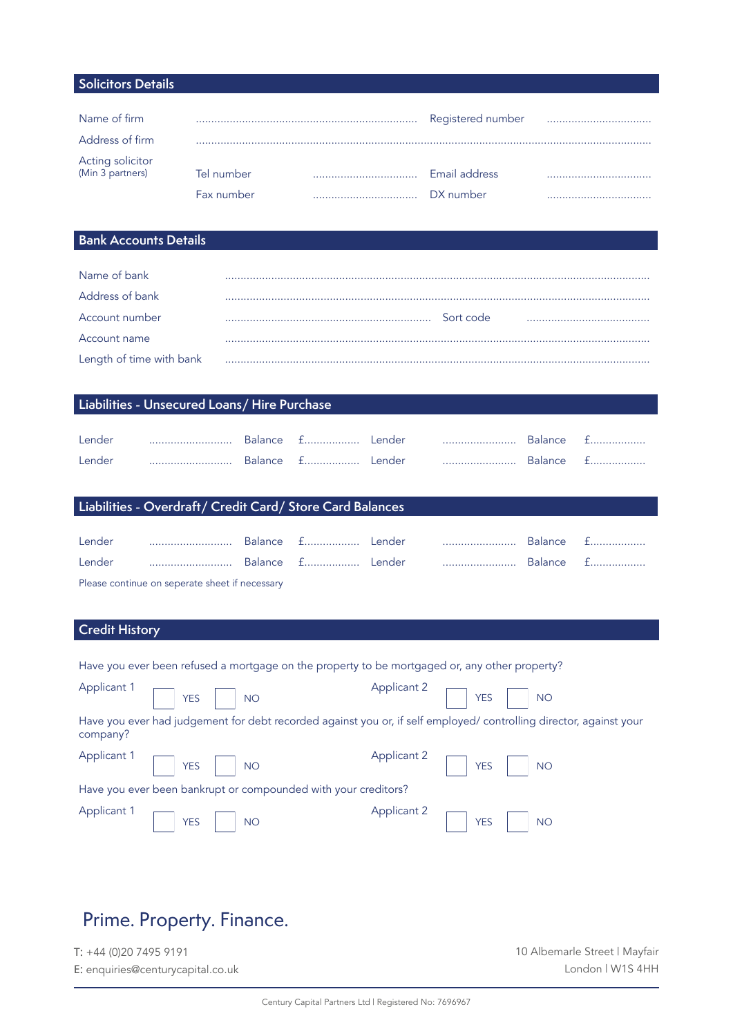#### **Solicitors Details**

| Name of firm                         |            | Registered number |  |
|--------------------------------------|------------|-------------------|--|
| Address of firm                      |            |                   |  |
| Acting solicitor<br>(Min 3 partners) | Tel number | Email address     |  |
|                                      |            |                   |  |
|                                      | Fax number | DX number         |  |

#### **Bank Accounts Details**

| Name of bank             |           |  |
|--------------------------|-----------|--|
| Address of bank          |           |  |
| Account number           | Sort code |  |
| Account name             |           |  |
| Length of time with bank |           |  |

### **Liabilities - Unsecured Loans/ Hire Purchase**

| Lender | <br>  | <b>Balance</b> | . | Lender | . <b>.</b> . | <b>Balance</b> | ---        |
|--------|-------|----------------|---|--------|--------------|----------------|------------|
| Lender | <br>. | <b>Balance</b> | . | ender. | .            | <b>Balance</b> | ---------- |

### **Liabilities - Overdraft/ Credit Card/ Store Card Balances**

| Lender                                                                                                                                                                                                                         |  |  |  |  |  | Balance £  |  |
|--------------------------------------------------------------------------------------------------------------------------------------------------------------------------------------------------------------------------------|--|--|--|--|--|------------|--|
| Lender                                                                                                                                                                                                                         |  |  |  |  |  | Balance £. |  |
| The contract of the contract of the contract of the contract of the contract of the contract of the contract of the contract of the contract of the contract of the contract of the contract of the contract of the contract o |  |  |  |  |  |            |  |

Please continue on seperate sheet if necessary

#### **Credit History**

|  |  |  | Have you ever been refused a mortgage on the property to be mortgaged or, any other property? |  |  |
|--|--|--|-----------------------------------------------------------------------------------------------|--|--|

|          | Applicant 1 $\Box$ YES $\Box$ NO                                                                                   | Applicant 2 $\Box$ YES $\Box$ NO                               |
|----------|--------------------------------------------------------------------------------------------------------------------|----------------------------------------------------------------|
| company? | Have you ever had judgement for debt recorded against you or, if self employed/ controlling director, against your |                                                                |
|          | Applicant 1 $\sqrt{ }$ YES $\sqrt{ }$ NO                                                                           | Applicant 2 YES NO                                             |
|          | Have you ever been bankrupt or compounded with your creditors?                                                     |                                                                |
|          | Applicant 1 $\Box$ YES $\Box$ NO                                                                                   | Applicant 2 $\boxed{\phantom{1}}$ YES $\boxed{\phantom{1}}$ NO |

### Prime. Property. Finance.

T: +44 (0)20 7495 9191 E: enquiries@centurycapital.co.uk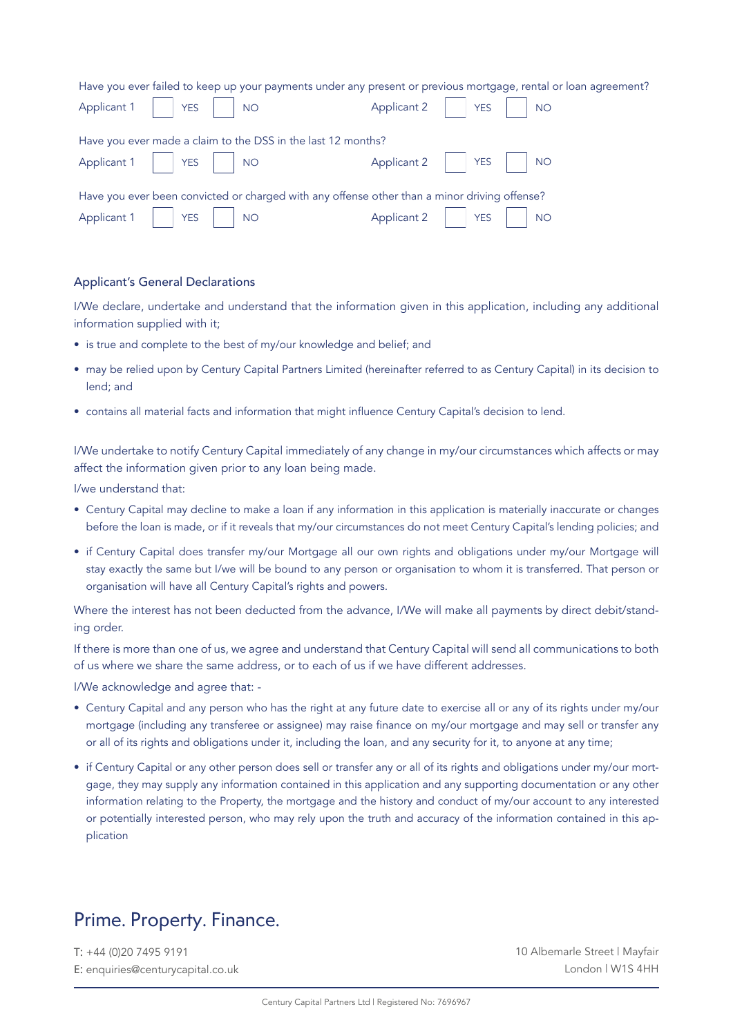| Have you ever failed to keep up your payments under any present or previous mortgage, rental or loan agreement? |                                                                                                                                                                         |  |  |  |
|-----------------------------------------------------------------------------------------------------------------|-------------------------------------------------------------------------------------------------------------------------------------------------------------------------|--|--|--|
| Applicant $1 \mid \frac{1}{1}$ YES $\mid \cdot \mid$ NO                                                         | Applicant 2   YES   NO                                                                                                                                                  |  |  |  |
| Have you ever made a claim to the DSS in the last 12 months?                                                    |                                                                                                                                                                         |  |  |  |
| Applicant $1 \mid \frac{1}{1}$ YES $\mid \frac{1}{1}$ NO                                                        | Applicant 2     YES     NO                                                                                                                                              |  |  |  |
| Have you ever been convicted or charged with any offense other than a minor driving offense?                    |                                                                                                                                                                         |  |  |  |
| Applicant 1   YES   NO                                                                                          | $\Delta$ Applicant 2 $\left  \begin{array}{ccc} \vert & \vert & \vert \end{array} \right $ YES $\left  \begin{array}{ccc} \vert & \vert & \vert \end{array} \right $ NO |  |  |  |

#### Applicant's General Declarations

I/We declare, undertake and understand that the information given in this application, including any additional information supplied with it;

- is true and complete to the best of my/our knowledge and belief; and
- may be relied upon by Century Capital Partners Limited (hereinafter referred to as Century Capital) in its decision to lend; and
- contains all material facts and information that might influence Century Capital's decision to lend.

I/We undertake to notify Century Capital immediately of any change in my/our circumstances which affects or may affect the information given prior to any loan being made.

I/we understand that:

- Century Capital may decline to make a loan if any information in this application is materially inaccurate or changes before the loan is made, or if it reveals that my/our circumstances do not meet Century Capital's lending policies; and
- if Century Capital does transfer my/our Mortgage all our own rights and obligations under my/our Mortgage will stay exactly the same but I/we will be bound to any person or organisation to whom it is transferred. That person or organisation will have all Century Capital's rights and powers.

Where the interest has not been deducted from the advance, I/We will make all payments by direct debit/standing order.

If there is more than one of us, we agree and understand that Century Capital will send all communications to both of us where we share the same address, or to each of us if we have different addresses.

I/We acknowledge and agree that: -

- Century Capital and any person who has the right at any future date to exercise all or any of its rights under my/our mortgage (including any transferee or assignee) may raise finance on my/our mortgage and may sell or transfer any or all of its rights and obligations under it, including the loan, and any security for it, to anyone at any time;
- if Century Capital or any other person does sell or transfer any or all of its rights and obligations under my/our mortgage, they may supply any information contained in this application and any supporting documentation or any other information relating to the Property, the mortgage and the history and conduct of my/our account to any interested or potentially interested person, who may rely upon the truth and accuracy of the information contained in this application

### Prime. Property. Finance.

T: +44 (0)20 7495 9191 E: enquiries@centurycapital.co.uk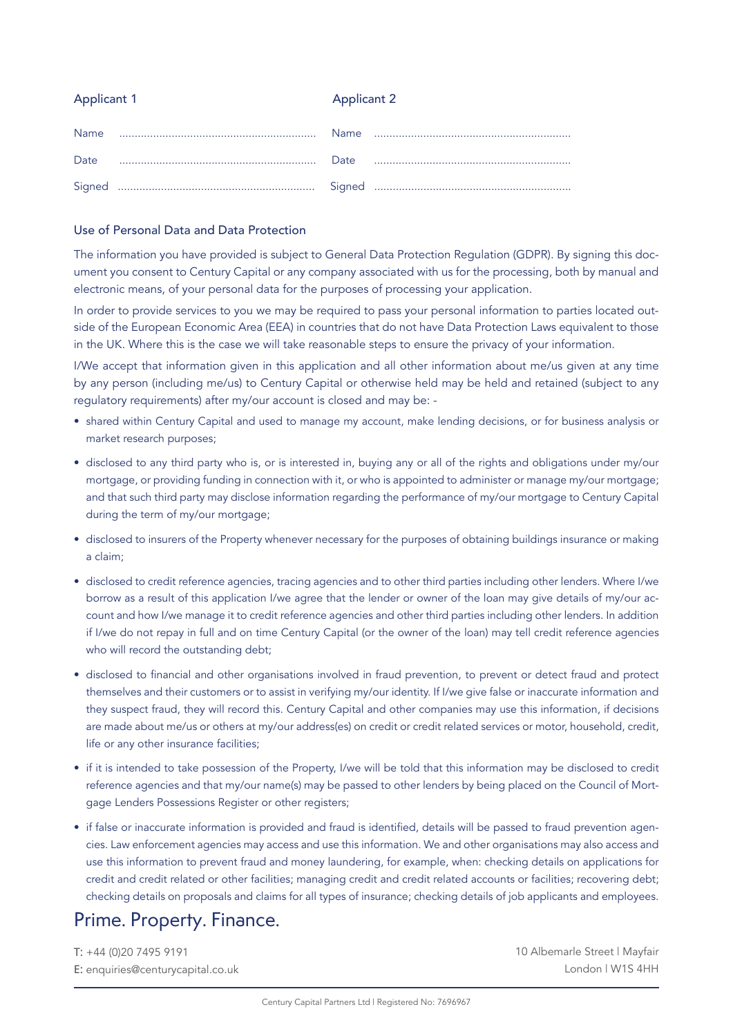### Applicant 1 Applicant 2

#### Use of Personal Data and Data Protection

The information you have provided is subject to General Data Protection Regulation (GDPR). By signing this document you consent to Century Capital or any company associated with us for the processing, both by manual and electronic means, of your personal data for the purposes of processing your application.

In order to provide services to you we may be required to pass your personal information to parties located outside of the European Economic Area (EEA) in countries that do not have Data Protection Laws equivalent to those in the UK. Where this is the case we will take reasonable steps to ensure the privacy of your information.

I/We accept that information given in this application and all other information about me/us given at any time by any person (including me/us) to Century Capital or otherwise held may be held and retained (subject to any regulatory requirements) after my/our account is closed and may be: -

- shared within Century Capital and used to manage my account, make lending decisions, or for business analysis or market research purposes;
- disclosed to any third party who is, or is interested in, buying any or all of the rights and obligations under my/our mortgage, or providing funding in connection with it, or who is appointed to administer or manage my/our mortgage; and that such third party may disclose information regarding the performance of my/our mortgage to Century Capital during the term of my/our mortgage;
- disclosed to insurers of the Property whenever necessary for the purposes of obtaining buildings insurance or making a claim;
- disclosed to credit reference agencies, tracing agencies and to other third parties including other lenders. Where I/we borrow as a result of this application I/we agree that the lender or owner of the loan may give details of my/our account and how I/we manage it to credit reference agencies and other third parties including other lenders. In addition if I/we do not repay in full and on time Century Capital (or the owner of the loan) may tell credit reference agencies who will record the outstanding debt;
- disclosed to financial and other organisations involved in fraud prevention, to prevent or detect fraud and protect themselves and their customers or to assist in verifying my/our identity. If I/we give false or inaccurate information and they suspect fraud, they will record this. Century Capital and other companies may use this information, if decisions are made about me/us or others at my/our address(es) on credit or credit related services or motor, household, credit, life or any other insurance facilities;
- if it is intended to take possession of the Property, I/we will be told that this information may be disclosed to credit reference agencies and that my/our name(s) may be passed to other lenders by being placed on the Council of Mortgage Lenders Possessions Register or other registers;
- if false or inaccurate information is provided and fraud is identified, details will be passed to fraud prevention agencies. Law enforcement agencies may access and use this information. We and other organisations may also access and use this information to prevent fraud and money laundering, for example, when: checking details on applications for credit and credit related or other facilities; managing credit and credit related accounts or facilities; recovering debt; checking details on proposals and claims for all types of insurance; checking details of job applicants and employees.

### Prime. Property. Finance.

T: +44 (0)20 7495 9191 E: enquiries@centurycapital.co.uk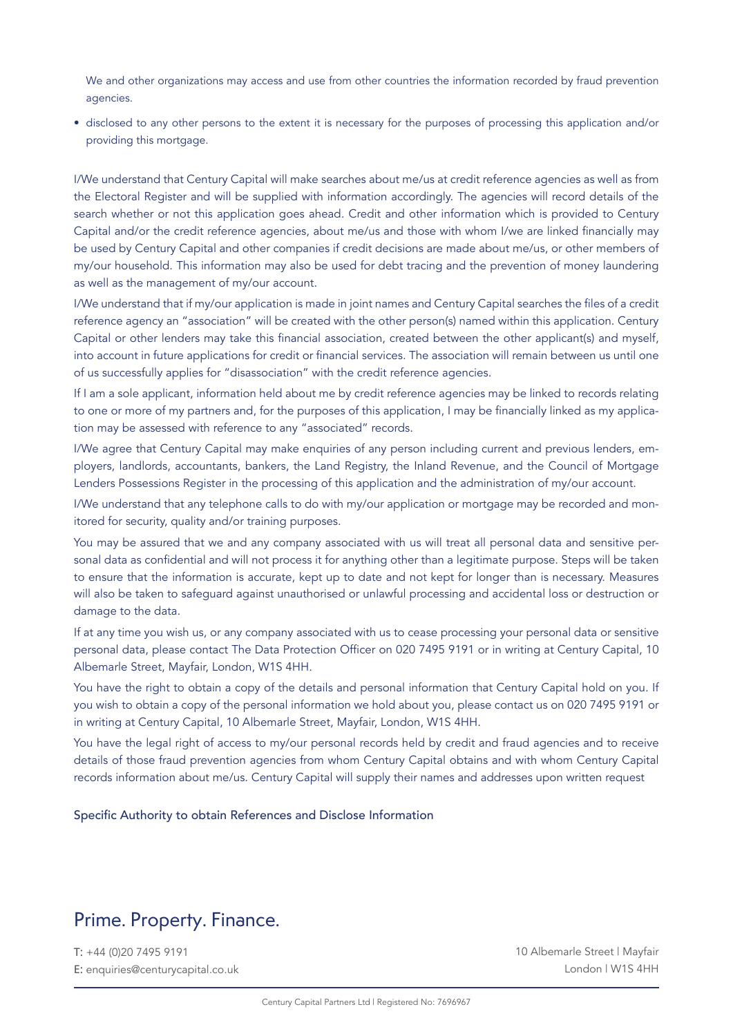We and other organizations may access and use from other countries the information recorded by fraud prevention agencies.

• disclosed to any other persons to the extent it is necessary for the purposes of processing this application and/or providing this mortgage.

I/We understand that Century Capital will make searches about me/us at credit reference agencies as well as from the Electoral Register and will be supplied with information accordingly. The agencies will record details of the search whether or not this application goes ahead. Credit and other information which is provided to Century Capital and/or the credit reference agencies, about me/us and those with whom I/we are linked financially may be used by Century Capital and other companies if credit decisions are made about me/us, or other members of my/our household. This information may also be used for debt tracing and the prevention of money laundering as well as the management of my/our account.

I/We understand that if my/our application is made in joint names and Century Capital searches the files of a credit reference agency an "association" will be created with the other person(s) named within this application. Century Capital or other lenders may take this financial association, created between the other applicant(s) and myself, into account in future applications for credit or financial services. The association will remain between us until one of us successfully applies for "disassociation" with the credit reference agencies.

If I am a sole applicant, information held about me by credit reference agencies may be linked to records relating to one or more of my partners and, for the purposes of this application, I may be financially linked as my application may be assessed with reference to any "associated" records.

I/We agree that Century Capital may make enquiries of any person including current and previous lenders, employers, landlords, accountants, bankers, the Land Registry, the Inland Revenue, and the Council of Mortgage Lenders Possessions Register in the processing of this application and the administration of my/our account.

I/We understand that any telephone calls to do with my/our application or mortgage may be recorded and monitored for security, quality and/or training purposes.

You may be assured that we and any company associated with us will treat all personal data and sensitive personal data as confidential and will not process it for anything other than a legitimate purpose. Steps will be taken to ensure that the information is accurate, kept up to date and not kept for longer than is necessary. Measures will also be taken to safeguard against unauthorised or unlawful processing and accidental loss or destruction or damage to the data.

If at any time you wish us, or any company associated with us to cease processing your personal data or sensitive personal data, please contact The Data Protection Officer on 020 7495 9191 or in writing at Century Capital, 10 Albemarle Street, Mayfair, London, W1S 4HH.

You have the right to obtain a copy of the details and personal information that Century Capital hold on you. If you wish to obtain a copy of the personal information we hold about you, please contact us on 020 7495 9191 or in writing at Century Capital, 10 Albemarle Street, Mayfair, London, W1S 4HH.

You have the legal right of access to my/our personal records held by credit and fraud agencies and to receive details of those fraud prevention agencies from whom Century Capital obtains and with whom Century Capital records information about me/us. Century Capital will supply their names and addresses upon written request

#### Specific Authority to obtain References and Disclose Information

### Prime. Property. Finance.

T: +44 (0)20 7495 9191 E: enquiries@centurycapital.co.uk